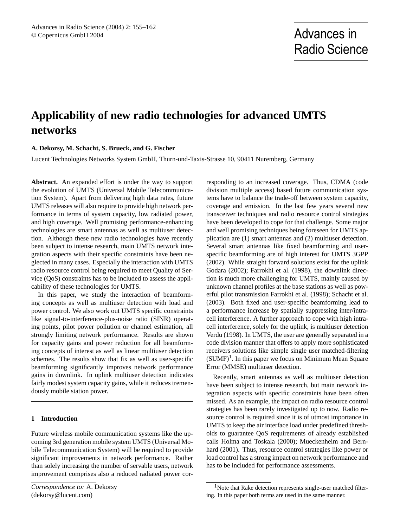# **Applicability of new radio technologies for advanced UMTS networks**

# **A. Dekorsy, M. Schacht, S. Brueck, and G. Fischer**

Lucent Technologies Networks System GmbH, Thurn-und-Taxis-Strasse 10, 90411 Nuremberg, Germany

**Abstract.** An expanded effort is under the way to support the evolution of UMTS (Universal Mobile Telecommunication System). Apart from delivering high data rates, future UMTS releases will also require to provide high network performance in terms of system capacity, low radiated power, and high coverage. Well promising performance-enhancing technologies are smart antennas as well as multiuser detection. Although these new radio technologies have recently been subject to intense research, main UMTS network integration aspects with their specific constraints have been neglected in many cases. Especially the interaction with UMTS radio resource control being required to meet Quality of Service (QoS) constraints has to be included to assess the applicability of these technologies for UMTS.

In this paper, we study the interaction of beamforming concepts as well as multiuser detection with load and power control. We also work out UMTS specific constraints like signal-to-interference-plus-noise ratio (SINR) operating points, pilot power pollution or channel estimation, all strongly limiting network performance. Results are shown for capacity gains and power reduction for all beamforming concepts of interest as well as linear multiuser detection schemes. The results show that fix as well as user-specific beamforming significantly improves network performance gains in downlink. In uplink multiuser detection indicates fairly modest system capacity gains, while it reduces tremendously mobile station power.

## **1 Introduction**

Future wireless mobile communication systems like the upcoming 3rd generation mobile system UMTS (Universal Mobile Telecommunication System) will be required to provide significant improvements in network performance. Rather than solely increasing the number of servable users, network improvement comprises also a reduced radiated power corresponding to an increased coverage. Thus, CDMA (code division multiple access) based future communication systems have to balance the trade-off between system capacity, coverage and emission. In the last few years several new transceiver techniques and radio resource control strategies have been developed to cope for that challenge. Some major and well promising techniques being foreseen for UMTS application are (1) smart antennas and (2) multiuser detection. Several smart antennas like fixed beamforming and userspecific beamforming are of high interest for UMTS 3GPP (2002). While straight forward solutions exist for the uplink Godara (2002); Farrokhi et al. (1998), the downlink direction is much more challenging for UMTS, mainly caused by unknown channel profiles at the base stations as well as powerful pilot transmission Farrokhi et al. (1998); Schacht et al. (2003). Both fixed and user-specific beamforming lead to a performance increase by spatially suppressing inter/intracell interference. A further approach to cope with high intracell interference, solely for the uplink, is multiuser detection Verdu (1998). In UMTS, the user are generally separated in a code division manner that offers to apply more sophisticated receivers solutions like simple single user matched-filtering  $(SUMF)^1$ . In this paper we focus on Minimum Mean Square Error (MMSE) multiuser detection.

Recently, smart antennas as well as multiuser detection have been subject to intense research, but main network integration aspects with specific constraints have been often missed. As an example, the impact on radio resource control strategies has been rarely investigated up to now. Radio resource control is required since it is of utmost importance in UMTS to keep the air interface load under predefined thresholds to guarantee QoS requirements of already established calls Holma and Toskala (2000); Mueckenheim and Bernhard (2001). Thus, resource control strategies like power or load control has a strong impact on network performance and has to be included for performance assessments.

<sup>&</sup>lt;sup>1</sup>Note that Rake detection represents single-user matched filtering. In this paper both terms are used in the same manner.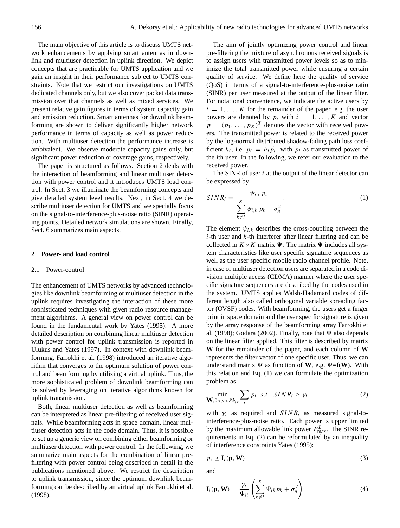The main objective of this article is to discuss UMTS network enhancements by applying smart antennas in downlink and multiuser detection in uplink direction. We depict concepts that are practicable for UMTS application and we gain an insight in their performance subject to UMTS constraints. Note that we restrict our investigations on UMTS dedicated channels only, but we also cover packet data transmission over that channels as well as mixed services. We present relative gain figures in terms of system capacity gain and emission reduction. Smart antennas for downlink beamforming are shown to deliver significantly higher network performance in terms of capacity as well as power reduction. With multiuser detection the performance increase is ambivalent. We observe moderate capacity gains only, but significant power reduction or coverage gains, respectively.

The paper is structured as follows. Section 2 deals with the interaction of beamforming and linear multiuser detection with power control and it introduces UMTS load control. In Sect. 3 we illuminate the beamforming concepts and give detailed system level results. Next, in Sect. 4 we describe multiuser detection for UMTS and we specially focus on the signal-to-interference-plus-noise ratio (SINR) operating points. Detailed network simulations are shown. Finally, Sect. 6 summarizes main aspects.

#### **2 Power- and load control**

#### 2.1 Power-control

The enhancement of UMTS networks by advanced technologies like downlink beamforming or multiuser detection in the uplink requires investigating the interaction of these more sophisticated techniques with given radio resource management algorithms. A general view on power control can be found in the fundamental work by Yates (1995). A more detailed description on combining linear multiuser detection with power control for uplink transmission is reported in Ulukus and Yates (1997). In context with downlink beamforming, Farrokhi et al. (1998) introduced an iterative algorithm that converges to the optimum solution of power control and beamforming by utilizing a virtual uplink. Thus, the more sophisticated problem of downlink beamforming can be solved by leveraging on iterative algorithms known for uplink transmission.

Both, linear multiuser detection as well as beamforming can be interpreted as linear pre-filtering of received user signals. While beamforming acts in space domain, linear multiuser detection acts in the code domain. Thus, it is possible to set up a generic view on combining either beamforming or multiuser detection with power control. In the following, we summarize main aspects for the combination of linear prefiltering with power control being described in detail in the publications mentioned above. We restrict the description to uplink transmission, since the optimum downlink beamforming can be described by an virtual uplink Farrokhi et al. (1998).

The aim of jointly optimizing power control and linear pre-filtering the mixture of asynchronous received signals is to assign users with transmitted power levels so as to minimize the total transmitted power while ensuring a certain quality of service. We define here the quality of service (QoS) in terms of a signal-to-interference-plus-noise ratio (SINR) per user measured at the output of the linear filter. For notational convenience, we indicate the active users by  $i = 1, \ldots, K$  for the remainder of the paper, e.g. the user powers are denoted by  $p_i$  with  $i = 1, ..., K$  and vector  $\mathbf{p} = (p_1, \dots, p_K)^T$  denotes the vector with received powers. The transmitted power is related to the received power by the log-normal distributed shadow-fading path loss coefficient  $h_i$ , i.e.  $p_i = h_i \tilde{p}_i$ , with  $\tilde{p}_i$  as transmitted power of the *i*th user. In the following, we refer our evaluation to the received power.

The SINR of user  $i$  at the output of the linear detector can be expressed by

$$
SINR_i = \frac{\psi_{i,i} p_i}{\sum_{k \neq i}^{K} \psi_{i,k} p_k + \sigma_n^2}.
$$
 (1)

The element  $\psi_{i,k}$  describes the cross-coupling between the  $i$ -th user and  $k$ -th interferer after linear filtering and can be collected in  $K \times K$  matrix  $\Psi$ . The matrix  $\Psi$  includes all system characteristics like user specific signature sequences as well as the user specific mobile radio channel profile. Note, in case of multiuser detection users are separated in a code division multiple access (CDMA) manner where the user specific signature sequences are described by the codes used in the system. UMTS applies Walsh-Hadamard codes of different length also called orthogonal variable spreading factor (OVSF) codes. With beamforming, the users get a finger print in space domain and the user specific signature is given by the array response of the beamforming array Farrokhi et al. (1998); Godara (2002). Finally, note that  $\Psi$  also depends on the linear filter applied. This filter is described by matrix **W** for the remainder of the paper, and each column of **W** represents the filter vector of one specific user. Thus, we can understand matrix  $\Psi$  as function of **W**, e.g.  $\Psi = f(W)$ . With this relation and Eq. (1) we can formulate the optimization problem as

$$
\min_{\mathbf{W}, 0 < p < P_{\text{max}}^L} \sum_i p_i \quad s.t. \quad SINR_i \ge \gamma_i \tag{2}
$$

with  $\gamma_i$  as required and  $SINR_i$  as measured signal-tointerference-plus-noise ratio. Each power is upper limited by the maximum allowable link power  $P_{\text{max}}^L$ . The SINR requirements in Eq. (2) can be reformulated by an inequality of interference constraints Yates (1995):

$$
p_i \ge \mathbf{I}_i(\mathbf{p}, \mathbf{W}) \tag{3}
$$

and

$$
\mathbf{I}_i(\mathbf{p}, \mathbf{W}) = \frac{\gamma_i}{\Psi_{ii}} \left( \sum_{k \neq i}^K \Psi_{ik} p_k + \sigma_n^2 \right)
$$
 (4)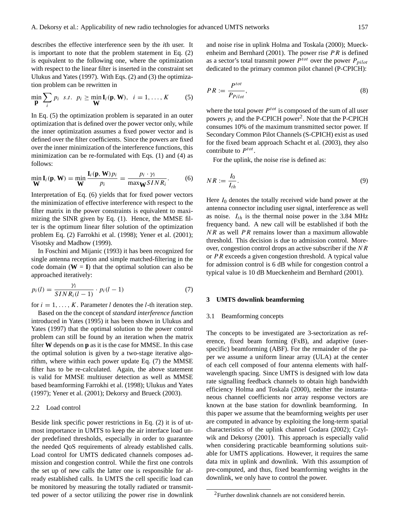describes the effective interference seen by the *i*th user. It is important to note that the problem statement in Eq. (2) is equivalent to the following one, where the optimization with respect to the linear filter is inserted in the constraint set Ulukus and Yates (1997). With Eqs. (2) and (3) the optimization problem can be rewritten in

$$
\min_{\mathbf{p}} \sum_{i} p_i \quad s.t. \quad p_i \ge \min_{\mathbf{W}} \mathbf{I}_i(\mathbf{p}, \mathbf{W}), \quad i = 1, \dots, K \tag{5}
$$

In Eq. (5) the optimization problem is separated in an outer optimization that is defined over the power vector only, while the inner optimization assumes a fixed power vector and is defined over the filter coefficients. Since the powers are fixed over the inner minimization of the interference functions, this minimization can be re-formulated with Eqs. (1) and (4) as follows:

$$
\min_{\mathbf{W}} \mathbf{I}_i(\mathbf{p}, \mathbf{W}) = \min_{\mathbf{W}} \frac{\mathbf{I}_i(\mathbf{p}, \mathbf{W}) p_i}{p_i} = \frac{p_i \cdot \gamma_i}{\max_{\mathbf{W}} SINR_i}.
$$
 (6)

Interpretation of Eq. (6) yields that for fixed power vectors the minimization of effective interference with respect to the filter matrix in the power constraints is equivalent to maximizing the SINR given by Eq. (1). Hence, the MMSE filter is the optimum linear filter solution of the optimization problem Eq. (2) Farrokhi et al. (1998); Yener et al. (2001); Visotsky and Madhow (1999).

In Foschini and Mijanic (1993) it has been recognized for single antenna reception and simple matched-filtering in the code domain  $(W = I)$  that the optimal solution can also be approached iteratively:

$$
p_i(l) = \frac{\gamma_i}{SINR_i(l-1)} \cdot p_i(l-1) \tag{7}
$$

for  $i = 1, \ldots, K$ . Parameter l denotes the l-th iteration step.

Based on the the concept of *standard interference function* introduced in Yates (1995) it has been shown in Ulukus and Yates (1997) that the optimal solution to the power control problem can still be found by an iteration when the matrix filter **W** depends on **p** as it is the case for MMSE. In this case the optimal solution is given by a two-stage iterative algorithm, where within each power update Eq. (7) the MMSE filter has to be re-calculated. Again, the above statement is valid for MMSE multiuser detection as well as MMSE based beamforming Farrokhi et al. (1998); Ulukus and Yates (1997); Yener et al. (2001); Dekorsy and Brueck (2003).

#### 2.2 Load control

Beside link specific power restrictions in Eq. (2) it is of utmost importance in UMTS to keep the air interface load under predefined thresholds, especially in order to guarantee the needed QoS requirements of already established calls. Load control for UMTS dedicated channels composes admission and congestion control. While the first one controls the set up of new calls the latter one is responsible for already established calls. In UMTS the cell specific load can be monitored by measuring the totally radiated or transmitted power of a sector utilizing the power rise in downlink and noise rise in uplink Holma and Toskala (2000); Mueckenheim and Bernhard (2001). The power rise  $PR$  is defined as a sector's total transmit power  $P^{tot}$  over the power  $P_{pilo}$ dedicated to the primary common pilot channel (P-CPICH):

$$
PR := \frac{P^{tot}}{P_{Pilot}},\tag{8}
$$

where the total power  $P^{tot}$  is composed of the sum of all user powers  $p_i$  and the P-CPICH power<sup>2</sup>. Note that the P-CPICH consumes 10% of the maximum transmitted sector power. If Secondary Common Pilot Channels (S-CPICH) exist as used for the fixed beam approach Schacht et al. (2003), they also contribute to  $P^{tot}$ .

For the uplink, the noise rise is defined as:

$$
NR := \frac{I_0}{I_{th}}.\tag{9}
$$

Here  $I_0$  denotes the totally received wide band power at the antenna connector including user signal, interference as well as noise.  $I_{th}$  is the thermal noise power in the 3.84 MHz frequency band. A new call will be established if both the  $NR$  as well  $PR$  remains lower than a maximum allowable threshold. This decision is due to admission control. Moreover, congestion control drops an active subscriber if the NR or P R exceeds a given congestion threshold. A typical value for admission control is 6 dB while for congestion control a typical value is 10 dB Mueckenheim and Bernhard (2001).

## **3 UMTS downlink beamforming**

## 3.1 Beamforming concepts

The concepts to be investigated are 3-sectorization as reference, fixed beam forming (FxB), and adaptive (userspecific) beamforming (ABF). For the remainder of the paper we assume a uniform linear array (ULA) at the center of each cell composed of four antenna elements with halfwavelength spacing. Since UMTS is designed with low data rate signalling feedback channels to obtain high bandwidth efficiency Holma and Toskala (2000), neither the instantaneous channel coefficients nor array response vectors are known at the base station for downlink beamforming. In this paper we assume that the beamforming weights per user are computed in advance by exploiting the long-term spatial characteristics of the uplink channel Godara (2002); Czylwik and Dekorsy (2001). This approach is especially valid when considering practicable beamforming solutions suitable for UMTS applications. However, it requires the same data mix in uplink and downlink. With this assumption of pre-computed, and thus, fixed beamforming weights in the downlink, we only have to control the power.

<sup>2</sup>Further downlink channels are not considered herein.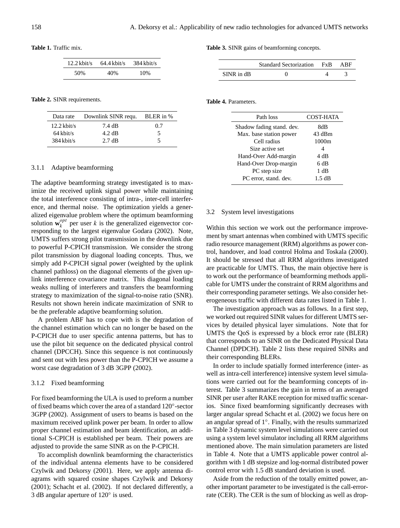**Table 1.** Traffic mix.

| $12.2$ kbit/s | $64.4$ kbit/s | $384$ kbit/s |
|---------------|---------------|--------------|
| 50%           | 40%           | 10%          |

**Table 2.** SINR requirements.

| Data rate     | Downlink SINR requ. | BLER in % |
|---------------|---------------------|-----------|
| $12.2$ kbit/s | 7.4 dB              | 0.7       |
| $64$ kbit/s   | $4.2 \text{ dB}$    | 5         |
| $384$ kbit/s  | $2.7 \text{ dB}$    |           |

#### 3.1.1 Adaptive beamforming

The adaptive beamforming strategy investigated is to maximize the received uplink signal power while maintaining the total interference consisting of intra-, inter-cell interference, and thermal noise. The optimization yields a generalized eigenvalue problem where the optimum beamforming solution  $\mathbf{w}_k^{opt}$  $\frac{p}{k}$  per user k is the generalized eigenvector corresponding to the largest eigenvalue Godara (2002). Note, UMTS suffers strong pilot transmission in the downlink due to powerful P-CPICH transmission. We consider the strong pilot transmission by diagonal loading concepts. Thus, we simply add P-CPICH signal power (weighted by the uplink channel pathloss) on the diagonal elements of the given uplink interference covariance matrix. This diagonal loading weaks nulling of interferers and transfers the beamforming strategy to maximization of the signal-to-noise ratio (SNR). Results not shown herein indicate maximization of SNR to be the preferable adaptive beamforming solution.

A problem ABF has to cope with is the degradation of the channel estimation which can no longer be based on the P-CPICH due to user specific antenna patterns, but has to use the pilot bit sequence on the dedicated physical control channel (DPCCH). Since this sequence is not continuously and sent out with less power than the P-CPICH we assume a worst case degradation of 3 dB 3GPP (2002).

#### 3.1.2 Fixed beamforming

For fixed beamforming the ULA is used to preform a number of fixed beams which cover the area of a standard 120°-sector 3GPP (2002). Assignment of users to beams is based on the maximum received uplink power per beam. In order to allow proper channel estimation and beam identification, an additional S-CPICH is established per beam. Their powers are adjusted to provide the same SINR as on the P-CPICH.

To accomplish downlink beamforming the characteristics of the individual antenna elements have to be considered Czylwik and Dekorsy (2001). Here, we apply antenna diagrams with squared cosine shapes Czylwik and Dekorsy (2001); Schacht et al. (2002). If not declared differently, a 3 dB angular aperture of 120◦ is used.

**Table 3.** SINR gains of beamforming concepts.

|            | Standard Sectorization FxB | ABF |
|------------|----------------------------|-----|
| SINR in dB |                            |     |

**Table 4.** Parameters.

| Path loss                 | <b>COST-HATA</b> |  |
|---------------------------|------------------|--|
| Shadow fading stand, dev. | 8dB              |  |
| Max. base station power   | 43 dBm           |  |
| Cell radius               | 1000m            |  |
| Size active set           | 4                |  |
| Hand-Over Add-margin      | 4 dB             |  |
| Hand-Over Drop-margin     | 6 dB             |  |
| PC step size              | 1 dB             |  |
| PC error, stand. dev.     | 1.5 dB           |  |

#### 3.2 System level investigations

Within this section we work out the performance improvement by smart antennas when combined with UMTS specific radio resource management (RRM) algorithms as power control, handover, and load control Holma and Toskala (2000). It should be stressed that all RRM algorithms investigated are practicable for UMTS. Thus, the main objective here is to work out the performance of beamforming methods applicable for UMTS under the constraint of RRM algorithms and their corresponding parameter settings. We also consider heterogeneous traffic with different data rates listed in Table 1.

The investigation approach was as follows. In a first step, we worked out required SINR values for different UMTS services by detailed physical layer simulations. Note that for UMTS the QoS is expressed by a block error rate (BLER) that corresponds to an SINR on the Dedicated Physical Data Channel (DPDCH). Table 2 lists these required SINRs and their corresponding BLERs.

In order to include spatially formed interference (inter- as well as intra-cell interference) intensive system level simulations were carried out for the beamforming concepts of interest. Table 3 summarizes the gain in terms of an averaged SINR per user after RAKE reception for mixed traffic scenarios. Since fixed beamforming significantly decreases with larger angular spread Schacht et al. (2002) we focus here on an angular spread of 1◦ . Finally, with the results summarized in Table 3 dynamic system level simulations were carried out using a system level simulator including all RRM algorithms mentioned above. The main simulation parameters are listed in Table 4. Note that a UMTS applicable power control algorithm with 1 dB stepsize and log-normal distributed power control error with 1.5 dB standard deviation is used.

Aside from the reduction of the totally emitted power, another important parameter to be investigated is the call-errorrate (CER). The CER is the sum of blocking as well as drop-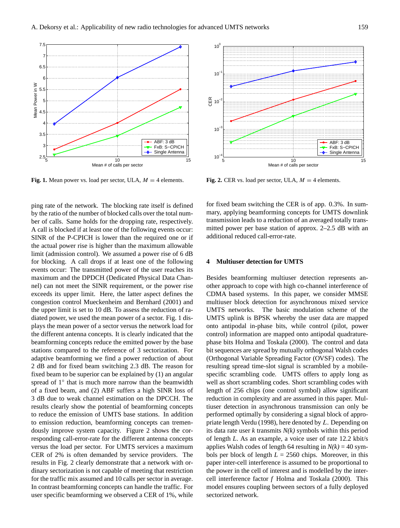

**Fig. 1.** Mean power vs. load per sector, ULA,  $M = 4$  elements.

ping rate of the network. The blocking rate itself is defined by the ratio of the number of blocked calls over the total number of calls. Same holds for the dropping rate, respectively. A call is blocked if at least one of the following events occur: SINR of the P-CPICH is lower than the required one or if the actual power rise is higher than the maximum allowable limit (admission control). We assumed a power rise of 6 dB for blocking. A call drops if at least one of the following events occur: The transmitted power of the user reaches its maximum and the DPDCH (Dedicated Physical Data Channel) can not meet the SINR requirement, or the power rise exceeds its upper limit. Here, the latter aspect defines the congestion control Mueckenheim and Bernhard (2001) and the upper limit is set to 10 dB. To assess the reduction of radiated power, we used the mean power of a sector. Fig. 1 displays the mean power of a sector versus the network load for the different antenna concepts. It is clearly indicated that the beamforming concepts reduce the emitted power by the base stations compared to the reference of 3 sectorization. For adaptive beamforming we find a power reduction of about 2 dB and for fixed beam switching 2.3 dB. The reason for fixed beam to be superior can be explained by (1) an angular spread of 1° that is much more narrow than the beamwidth of a fixed beam, and (2) ABF suffers a high SINR loss of 3 dB due to weak channel estimation on the DPCCH. The results clearly show the potential of beamforming concepts to reduce the emission of UMTS base stations. In addition to emission reduction, beamforming concepts can tremendously improve system capacity. Figure 2 shows the corresponding call-error-rate for the different antenna concepts versus the load per sector. For UMTS services a maximum CER of 2% is often demanded by service providers. The results in Fig. 2 clearly demonstrate that a network with ordinary sectorization is not capable of meeting that restriction for the traffic mix assumed and 10 calls per sector in average. In contrast beamforming concepts can handle the traffic. For user specific beamforming we observed a CER of 1%, while



**Fig. 2.** CER vs. load per sector, ULA,  $M = 4$  elements.

for fixed beam switching the CER is of app. 0.3%. In summary, applying beamforming concepts for UMTS downlink transmission leads to a reduction of an averaged totally transmitted power per base station of approx. 2–2.5 dB with an additional reduced call-error-rate.

## **4 Multiuser detection for UMTS**

Besides beamforming multiuser detection represents another approach to cope with high co-channel interference of CDMA based systems. In this paper, we consider MMSE multiuser block detection for asynchronous mixed service UMTS networks. The basic modulation scheme of the UMTS uplink is BPSK whereby the user data are mapped onto antipodal in-phase bits, while control (pilot, power control) information are mapped onto antipodal quadraturephase bits Holma and Toskala (2000). The control and data bit sequences are spread by mutually orthogonal Walsh codes (Orthogonal Variable Spreading Factor (OVSF) codes). The resulting spread time-slot signal is scrambled by a mobilespecific scrambling code. UMTS offers to apply long as well as short scrambling codes. Short scrambling codes with length of 256 chips (one control symbol) allow significant reduction in complexity and are assumed in this paper. Multiuser detection in asynchronous transmission can only be performed optimally by considering a signal block of appropriate length Verdu (1998), here denoted by L. Depending on its data rate user *k* transmits *N(k)* symbols within this period of length *L*. As an example, a voice user of rate 12.2 kbit/s applies Walsh codes of length 64 resulting in  $N(k) = 40$  symbols per block of length  $L = 2560$  chips. Moreover, in this paper inter-cell interference is assumed to be proportional to the power in the cell of interest and is modelled by the intercell interference factor *f* Holma and Toskala (2000). This model ensures coupling between sectors of a fully deployed sectorized network.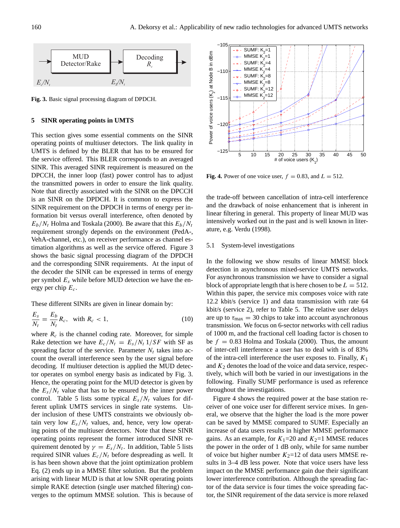

**Fig. 3.** Basic signal processing diagram of DPDCH.

### **5 SINR operating points in UMTS**

This section gives some essential comments on the SINR operating points of multiuser detectors. The link quality in UMTS is defined by the BLER that has to be ensured for the service offered. This BLER corresponds to an averaged SINR. This averaged SINR requirement is measured on the DPCCH, the inner loop (fast) power control has to adjust the transmitted powers in order to ensure the link quality. Note that directly associated with the SINR on the DPCCH is an SINR on the DPDCH. It is common to express the SINR requirement on the DPDCH in terms of energy per information bit versus overall interference, often denoted by  $E_b/N_t$  Holma and Toskala (2000). Be aware that this  $E_b/N_t$ requirement strongly depends on the environment (PedA-, VehA-channel, etc.), on receiver performance as channel estimation algorithms as well as the service offered. Figure 3 shows the basic signal processing diagram of the DPDCH and the corresponding SINR requirements. At the input of the decoder the SINR can be expressed in terms of energy per symbol  $E_s$  while before MUD detection we have the energy per chip  $E_c$ .

These different SINRs are given in linear domain by:

$$
\frac{E_s}{N_t} = \frac{E_b}{N_t} R_c, \quad \text{with } R_c < 1,\tag{10}
$$

where  $R_c$  is the channel coding rate. Moreover, for simple Rake detection we have  $E_c/N_t = E_s/N_t$  1/*SF* with SF as spreading factor of the service. Parameter  $N_t$  takes into account the overall interference seen by the user signal before decoding. If multiuser detection is applied the MUD detector operates on symbol energy basis as indicated by Fig. 3. Hence, the operating point for the MUD detector is given by the  $E_s/N_t$  value that has to be ensured by the inner power control. Table 5 lists some typical  $E_s/N_t$  values for different uplink UMTS services in single rate systems. Under inclusion of these UMTS constraints we obviously obtain very low  $E_s/N_t$  values, and, hence, very low operating points of the multiuser detectors. Note that these SINR operating points represent the former introduced SINR requirement denoted by  $\gamma = E_s/N_t$ . In addition, Table 5 lists required SINR values  $E_c/N_t$  before despreading as well. It is has been shown above that the joint optimization problem Eq. (2) ends up in a MMSE filter solution. But the problem arising with linear MUD is that at low SNR operating points simple RAKE detection (single user matched filtering) converges to the optimum MMSE solution. This is because of



**Fig. 4.** Power of one voice user,  $f = 0.83$ , and  $L = 512$ .

the trade-off between cancellation of intra-cell interference and the drawback of noise enhancement that is inherent in linear filtering in general. This property of linear MUD was intensively worked out in the past and is well known in literature, e.g. Verdu (1998).

#### 5.1 System-level investigations

In the following we show results of linear MMSE block detection in asynchronous mixed-service UMTS networks. For asynchronous transmission we have to consider a signal block of appropriate length that is here chosen to be  $L = 512$ . Within this paper, the service mix composes voice with rate 12.2 kbit/s (service 1) and data transmission with rate 64 kbit/s (service 2), refer to Table 5. The relative user delays are up to  $\tau_{\text{max}} = 30$  chips to take into account asynchronous transmission. We focus on 6-sector networks with cell radius of 1000 m, and the fractional cell loading factor is chosen to be  $f = 0.83$  Holma and Toskala (2000). Thus, the amount of inter-cell interference a user has to deal with is of 83% of the intra-cell interference the user exposes to. Finally,  $K_1$ and  $K_2$  denotes the load of the voice and data service, respectively, which will both be varied in our investigations in the following. Finally SUMF performance is used as reference throughout the investigations.

Figure 4 shows the required power at the base station receiver of one voice user for different service mixes. In general, we observe that the higher the load is the more power can be saved by MMSE compared to SUMF. Especially an increase of data users results in higher MMSE performance gains. As an example, for  $K_1=20$  and  $K_2=1$  MMSE reduces the power in the order of 1 dB only, while for same number of voice but higher number  $K_2=12$  of data users MMSE results in 3–4 dB less power. Note that voice users have less impact on the MMSE performance gain due their significant lower interference contribution. Although the spreading factor of the data service is four times the voice spreading factor, the SINR requirement of the data service is more relaxed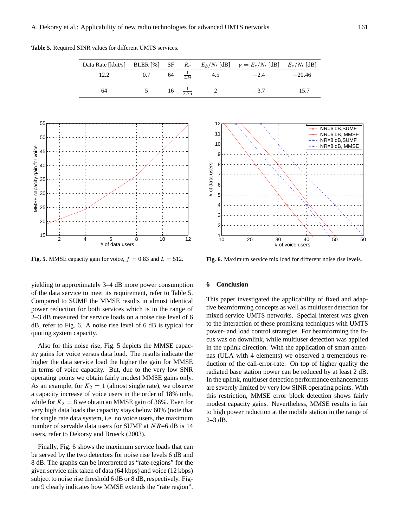**Table 5.** Required SINR values for different UMTS services.

|            |  |                         | Data Rate [kbit/s] BLER [%] SF $R_c$ $E_b/N_t$ [dB] $\gamma = E_s/N_t$ [dB] $E_c/N_t$ [dB] |          |
|------------|--|-------------------------|--------------------------------------------------------------------------------------------|----------|
| $12.2$ 0.7 |  |                         | 64 $\frac{1}{49}$ 4.5 -2.4                                                                 | $-20.46$ |
| 64         |  | 5 16 $\frac{1}{3.75}$ 2 | $-3.7$                                                                                     | $-15.7$  |



**Fig. 5.** MMSE capacity gain for voice,  $f = 0.83$  and  $L = 512$ .

yielding to approximately 3–4 dB more power consumption of the data service to meet its requirement, refer to Table 5. Compared to SUMF the MMSE results in almost identical power reduction for both services which is in the range of 2–3 dB measured for service loads on a noise rise level of 6 dB, refer to Fig. 6. A noise rise level of 6 dB is typical for quoting system capacity.

Also for this noise rise, Fig. 5 depicts the MMSE capacity gains for voice versus data load. The results indicate the higher the data service load the higher the gain for MMSE in terms of voice capacity. But, due to the very low SNR operating points we obtain fairly modest MMSE gains only. As an example, for  $K_2 = 1$  (almost single rate), we observe a capacity increase of voice users in the order of 18% only, while for  $K_2 = 8$  we obtain an MMSE gain of 36%. Even for very high data loads the capacity stays below 60% (note that for single rate data system, i.e. no voice users, the maximum number of servable data users for SUMF at  $NR=6$  dB is 14 users, refer to Dekorsy and Brueck (2003).

Finally, Fig. 6 shows the maximum service loads that can be served by the two detectors for noise rise levels 6 dB and 8 dB. The graphs can be interpreted as "rate-regions" for the given service mix taken of data (64 kbps) and voice (12 kbps) subject to noise rise threshold 6 dB or 8 dB, respectively. Figure 9 clearly indicates how MMSE extends the "rate region".



**Fig. 6.** Maximum service mix load for different noise rise levels.

#### **6 Conclusion**

This paper investigated the applicability of fixed and adaptive beamforming concepts as well as multiuser detection for mixed service UMTS networks. Special interest was given to the interaction of these promising techniques with UMTS power- and load control strategies. For beamforming the focus was on downlink, while multiuser detection was applied in the uplink direction. With the application of smart antennas (ULA with 4 elements) we observed a tremendous reduction of the call-error-rate. On top of higher quality the radiated base station power can be reduced by at least 2 dB. In the uplink, multiuser detection performance enhancements are severely limited by very low SINR operating points. With this restriction, MMSE error block detection shows fairly modest capacity gains. Nevertheless, MMSE results in fair to high power reduction at the mobile station in the range of 2–3 dB.